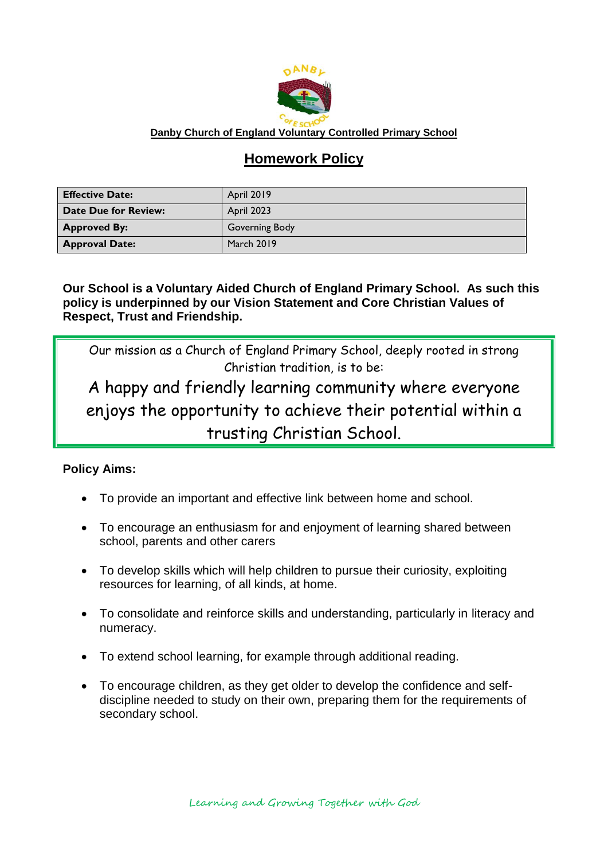

#### **Danby Church of England Voluntary Controlled Primary School**

# **Homework Policy**

| <b>Effective Date:</b>      | <b>April 2019</b> |
|-----------------------------|-------------------|
| <b>Date Due for Review:</b> | April 2023        |
| <b>Approved By:</b>         | Governing Body    |
| <b>Approval Date:</b>       | <b>March 2019</b> |

**Our School is a Voluntary Aided Church of England Primary School. As such this policy is underpinned by our Vision Statement and Core Christian Values of Respect, Trust and Friendship.**

Our mission as a Church of England Primary School, deeply rooted in strong Christian tradition, is to be:

A happy and friendly learning community where everyone enjoys the opportunity to achieve their potential within a trusting Christian School.

#### **Policy Aims:**

- To provide an important and effective link between home and school.
- To encourage an enthusiasm for and enjoyment of learning shared between school, parents and other carers
- To develop skills which will help children to pursue their curiosity, exploiting resources for learning, of all kinds, at home.
- To consolidate and reinforce skills and understanding, particularly in literacy and numeracy.
- To extend school learning, for example through additional reading.
- To encourage children, as they get older to develop the confidence and selfdiscipline needed to study on their own, preparing them for the requirements of secondary school.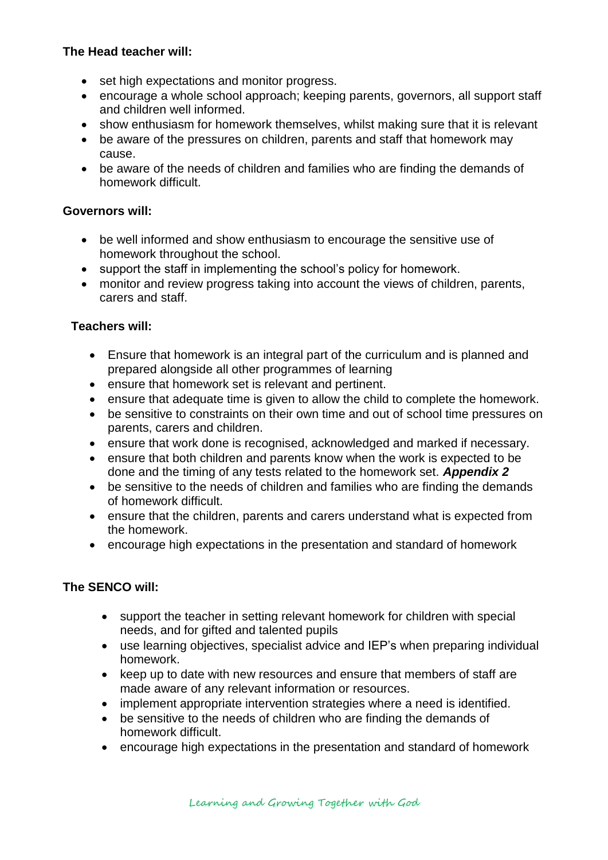## **The Head teacher will:**

- set high expectations and monitor progress.
- encourage a whole school approach; keeping parents, governors, all support staff and children well informed.
- show enthusiasm for homework themselves, whilst making sure that it is relevant
- be aware of the pressures on children, parents and staff that homework may cause.
- be aware of the needs of children and families who are finding the demands of homework difficult.

## **Governors will:**

- be well informed and show enthusiasm to encourage the sensitive use of homework throughout the school.
- support the staff in implementing the school's policy for homework.
- monitor and review progress taking into account the views of children, parents, carers and staff.

# **Teachers will:**

- Ensure that homework is an integral part of the curriculum and is planned and prepared alongside all other programmes of learning
- ensure that homework set is relevant and pertinent.
- ensure that adequate time is given to allow the child to complete the homework.
- be sensitive to constraints on their own time and out of school time pressures on parents, carers and children.
- ensure that work done is recognised, acknowledged and marked if necessary.
- ensure that both children and parents know when the work is expected to be done and the timing of any tests related to the homework set. *Appendix 2*
- be sensitive to the needs of children and families who are finding the demands of homework difficult.
- ensure that the children, parents and carers understand what is expected from the homework.
- encourage high expectations in the presentation and standard of homework

# **The SENCO will:**

- support the teacher in setting relevant homework for children with special needs, and for gifted and talented pupils
- use learning objectives, specialist advice and IEP's when preparing individual homework.
- keep up to date with new resources and ensure that members of staff are made aware of any relevant information or resources.
- implement appropriate intervention strategies where a need is identified.
- be sensitive to the needs of children who are finding the demands of homework difficult.
- encourage high expectations in the presentation and standard of homework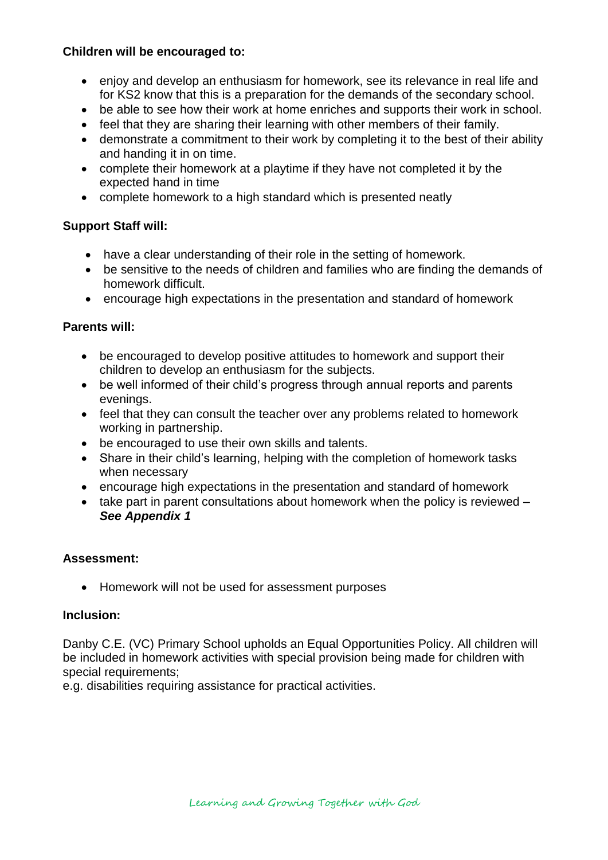#### **Children will be encouraged to:**

- enjoy and develop an enthusiasm for homework, see its relevance in real life and for KS2 know that this is a preparation for the demands of the secondary school.
- be able to see how their work at home enriches and supports their work in school.
- feel that they are sharing their learning with other members of their family.
- demonstrate a commitment to their work by completing it to the best of their ability and handing it in on time.
- complete their homework at a playtime if they have not completed it by the expected hand in time
- complete homework to a high standard which is presented neatly

#### **Support Staff will:**

- have a clear understanding of their role in the setting of homework.
- be sensitive to the needs of children and families who are finding the demands of homework difficult.
- encourage high expectations in the presentation and standard of homework

#### **Parents will:**

- be encouraged to develop positive attitudes to homework and support their children to develop an enthusiasm for the subjects.
- be well informed of their child's progress through annual reports and parents evenings.
- feel that they can consult the teacher over any problems related to homework working in partnership.
- be encouraged to use their own skills and talents.
- Share in their child's learning, helping with the completion of homework tasks when necessary
- encourage high expectations in the presentation and standard of homework
- $\bullet$  take part in parent consultations about homework when the policy is reviewed  $-$ *See Appendix 1*

#### **Assessment:**

• Homework will not be used for assessment purposes

#### **Inclusion:**

Danby C.E. (VC) Primary School upholds an Equal Opportunities Policy. All children will be included in homework activities with special provision being made for children with special requirements;

e.g. disabilities requiring assistance for practical activities.